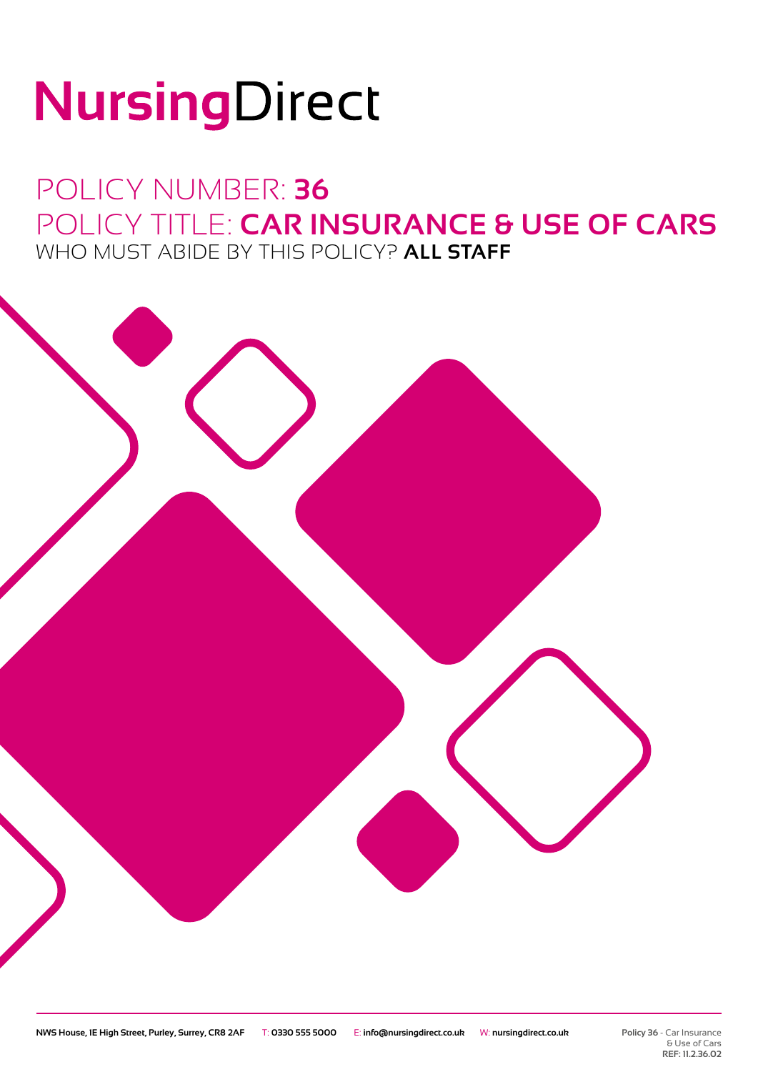# NursingDirect

### POLICY NUMBER: **36** POLICY TITLE: **CAR INSURANCE & USE OF CARS** WHO MUST ABIDE BY THIS POLICY? **ALL STAFF**